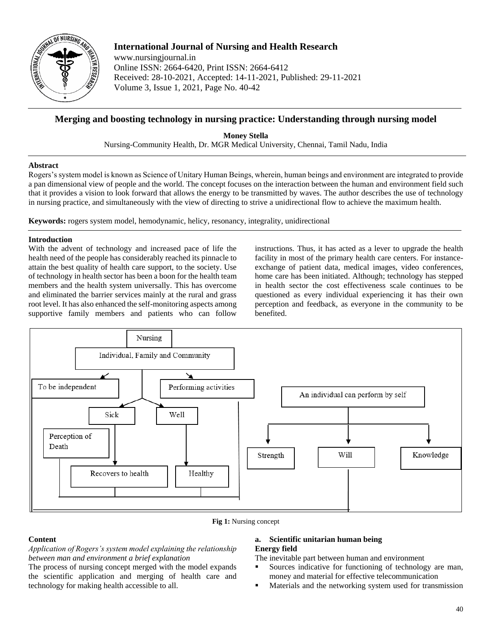

# **International Journal of Nursing and Health Research**

www.nursingjournal.in Online ISSN: 2664-6420, Print ISSN: 2664-6412 Received: 28-10-2021, Accepted: 14-11-2021, Published: 29-11-2021 Volume 3, Issue 1, 2021, Page No. 40-42

# **Merging and boosting technology in nursing practice: Understanding through nursing model**

**Money Stella** Nursing-Community Health, Dr. MGR Medical University, Chennai, Tamil Nadu, India

# **Abstract**

Rogers's system model is known as Science of Unitary Human Beings, wherein, human beings and environment are integrated to provide a pan dimensional view of people and the world. The concept focuses on the interaction between the human and environment field such that it provides a vision to look forward that allows the energy to be transmitted by waves. The author describes the use of technology in nursing practice, and simultaneously with the view of directing to strive a unidirectional flow to achieve the maximum health.

**Keywords:** rogers system model, hemodynamic, helicy, resonancy, integrality, unidirectional

#### **Introduction**

With the advent of technology and increased pace of life the health need of the people has considerably reached its pinnacle to attain the best quality of health care support, to the society. Use of technology in health sector has been a boon for the health team members and the health system universally. This has overcome and eliminated the barrier services mainly at the rural and grass root level. It has also enhanced the self-monitoring aspects among supportive family members and patients who can follow

instructions. Thus, it has acted as a lever to upgrade the health facility in most of the primary health care centers. For instanceexchange of patient data, medical images, video conferences, home care has been initiated. Although; technology has stepped in health sector the cost effectiveness scale continues to be questioned as every individual experiencing it has their own perception and feedback, as everyone in the community to be benefited.



**Fig 1:** Nursing concept

# **Content**

*Application of Rogers's system model explaining the relationship between man and environment a brief explanation*

The process of nursing concept merged with the model expands the scientific application and merging of health care and technology for making health accessible to all.

# **a. Scientific unitarian human being Energy field**

The inevitable part between human and environment

- Sources indicative for functioning of technology are man, money and material for effective telecommunication
- **Materials and the networking system used for transmission**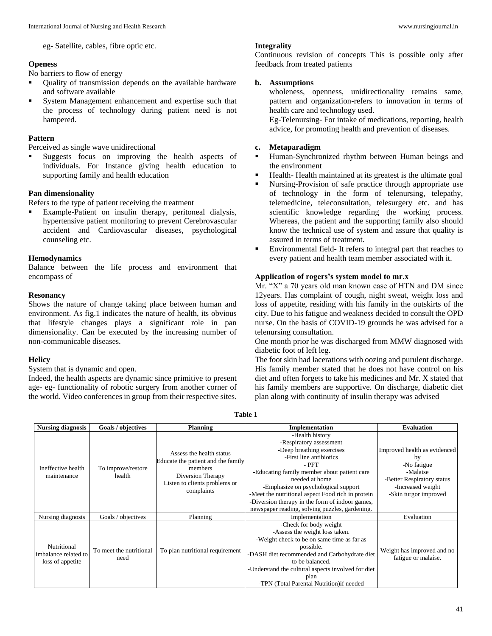eg- Satellite, cables, fibre optic etc.

# **Openess**

No barriers to flow of energy

- Quality of transmission depends on the available hardware and software available
- System Management enhancement and expertise such that the process of technology during patient need is not hampered.

#### **Pattern**

Perceived as single wave unidirectional

 Suggests focus on improving the health aspects of individuals. For Instance giving health education to supporting family and health education

#### **Pan dimensionality**

Refers to the type of patient receiving the treatment

 Example-Patient on insulin therapy, peritoneal dialysis, hypertensive patient monitoring to prevent Cerebrovascular accident and Cardiovascular diseases, psychological counseling etc.

#### **Hemodynamics**

Balance between the life process and environment that encompass of

#### **Resonancy**

Shows the nature of change taking place between human and environment. As fig.1 indicates the nature of health, its obvious that lifestyle changes plays a significant role in pan dimensionality. Can be executed by the increasing number of non-communicable diseases.

# **Helicy**

System that is dynamic and open.

Indeed, the health aspects are dynamic since primitive to present age- eg- functionality of robotic surgery from another corner of the world. Video conferences in group from their respective sites.

#### **Integrality**

Continuous revision of concepts This is possible only after feedback from treated patients

# **b. Assumptions**

wholeness, openness, unidirectionality remains same, pattern and organization-refers to innovation in terms of health care and technology used.

Eg-Telenursing- For intake of medications, reporting, health advice, for promoting health and prevention of diseases.

#### **c. Metaparadigm**

- Human-Synchronized rhythm between Human beings and the environment
- Health- Health maintained at its greatest is the ultimate goal
- Nursing-Provision of safe practice through appropriate use of technology in the form of telenursing, telepathy, telemedicine, teleconsultation, telesurgery etc. and has scientific knowledge regarding the working process. Whereas, the patient and the supporting family also should know the technical use of system and assure that quality is assured in terms of treatment.
- Environmental field- It refers to integral part that reaches to every patient and health team member associated with it.

# **Application of rogers's system model to mr.x**

Mr. "X" a 70 years old man known case of HTN and DM since 12years. Has complaint of cough, night sweat, weight loss and loss of appetite, residing with his family in the outskirts of the city. Due to his fatigue and weakness decided to consult the OPD nurse. On the basis of COVID-19 grounds he was advised for a telenursing consultation.

One month prior he was discharged from MMW diagnosed with diabetic foot of left leg.

The foot skin had lacerations with oozing and purulent discharge. His family member stated that he does not have control on his diet and often forgets to take his medicines and Mr. X stated that his family members are supportive. On discharge, diabetic diet plan along with continuity of insulin therapy was advised

**Table 1**

| <b>Nursing diagnosis</b>                                | <b>Goals / objectives</b>       | <b>Planning</b>                                                                                                                               | Implementation                                     | <b>Evaluation</b>            |
|---------------------------------------------------------|---------------------------------|-----------------------------------------------------------------------------------------------------------------------------------------------|----------------------------------------------------|------------------------------|
| Ineffective health<br>maintenance                       | To improve/restore<br>health    | Assess the health status<br>Educate the patient and the family<br>members<br>Diversion Therapy<br>Listen to clients problems or<br>complaints | -Health history                                    |                              |
|                                                         |                                 |                                                                                                                                               | -Respiratory assessment                            |                              |
|                                                         |                                 |                                                                                                                                               | -Deep breathing exercises                          | Improved health as evidenced |
|                                                         |                                 |                                                                                                                                               | -First line antibiotics                            | by                           |
|                                                         |                                 |                                                                                                                                               | - PFT                                              | -No fatigue                  |
|                                                         |                                 |                                                                                                                                               | -Educating family member about patient care        | -Malaise                     |
|                                                         |                                 |                                                                                                                                               | needed at home                                     | -Better Respiratory status   |
|                                                         |                                 |                                                                                                                                               | -Emphasize on psychological support                | -Increased weight            |
|                                                         |                                 |                                                                                                                                               | -Meet the nutritional aspect Food rich in protein  | -Skin turgor improved        |
|                                                         |                                 |                                                                                                                                               | -Diversion therapy in the form of indoor games,    |                              |
|                                                         |                                 |                                                                                                                                               | newspaper reading, solving puzzles, gardening.     |                              |
| Nursing diagnosis                                       | Goals / objectives              | Planning                                                                                                                                      | Implementation                                     | Evaluation                   |
| Nutritional<br>imbalance related to<br>loss of appetite | To meet the nutritional<br>need | To plan nutritional requirement                                                                                                               | -Check for body weight                             |                              |
|                                                         |                                 |                                                                                                                                               | -Assess the weight loss taken.                     |                              |
|                                                         |                                 |                                                                                                                                               | -Weight check to be on same time as far as         |                              |
|                                                         |                                 |                                                                                                                                               | possible.                                          | Weight has improved and no   |
|                                                         |                                 |                                                                                                                                               | -DASH diet recommended and Carbohydrate diet       | fatigue or malaise.          |
|                                                         |                                 |                                                                                                                                               | to be balanced.                                    |                              |
|                                                         |                                 |                                                                                                                                               | -Understand the cultural aspects involved for diet |                              |
|                                                         |                                 |                                                                                                                                               | plan                                               |                              |
|                                                         |                                 |                                                                                                                                               | -TPN (Total Parental Nutrition) if needed          |                              |